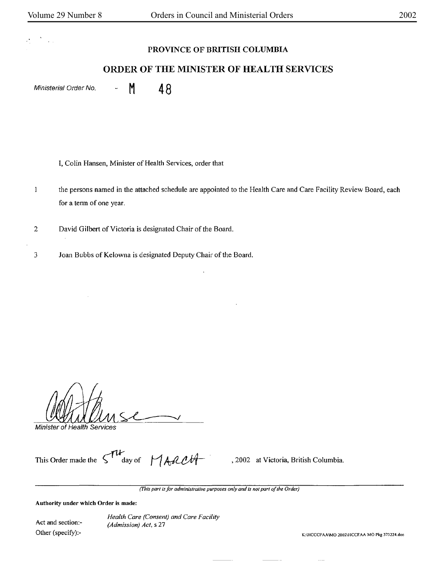## **PROVINCE OF BRITISH COLUMBIA**

## **ORDER OF THE MINISTER OF HEALTH SERVICES**

Ministerial Order No.  $-M = M$ 

I, Colin Hansen, Minister of Health Services, order that

 $\bf{l}$ the persons named in the attached schedule are appointed to the Health Care and Care Facility Review Board, each for a term of one year.

2 David Gilbert of Victoria is designated Chair of the Board.

3 Joan Bubbs of Kelowna is designated Deputy Chair of the Board.

Minister of Health Services

This Order made the  $\begin{bmatrix} \mathcal{W} & \mathcal{W} \\ \mathcal{W} & \mathcal{W} \end{bmatrix}$   $\mathcal{W}$  , 2002 at Victoria, British Columbia.

*(This part is for administrative purposes only and is not part of the Order)* 

**Authority under which Order is made:** 

Act and section:- Other (specify):-

*Health Care (Consent) and Care Facility (Admission) Act,* s 27

K:IHCCCFAAIMO 2002IHCCFAA MO Pkg 373224.doc